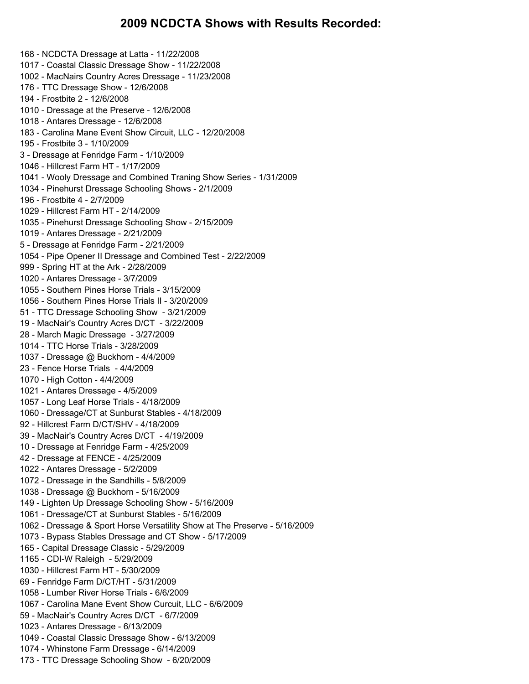168 - NCDCTA Dressage at Latta - 11/22/2008 1017 - Coastal Classic Dressage Show - 11/22/2008 1002 - MacNairs Country Acres Dressage - 11/23/2008 176 - TTC Dressage Show - 12/6/2008 194 - Frostbite 2 - 12/6/2008 1010 - Dressage at the Preserve - 12/6/2008 1018 - Antares Dressage - 12/6/2008 183 - Carolina Mane Event Show Circuit, LLC - 12/20/2008 195 - Frostbite 3 - 1/10/2009 3 - Dressage at Fenridge Farm - 1/10/2009 1046 - Hillcrest Farm HT - 1/17/2009 1041 - Wooly Dressage and Combined Traning Show Series - 1/31/2009 1034 - Pinehurst Dressage Schooling Shows - 2/1/2009 196 - Frostbite 4 - 2/7/2009 1029 - Hillcrest Farm HT - 2/14/2009 1035 - Pinehurst Dressage Schooling Show - 2/15/2009 1019 - Antares Dressage - 2/21/2009 5 - Dressage at Fenridge Farm - 2/21/2009 1054 - Pipe Opener II Dressage and Combined Test - 2/22/2009 999 - Spring HT at the Ark - 2/28/2009 1020 - Antares Dressage - 3/7/2009 1055 - Southern Pines Horse Trials - 3/15/2009 1056 - Southern Pines Horse Trials II - 3/20/2009 51 - TTC Dressage Schooling Show - 3/21/2009 19 - MacNair's Country Acres D/CT - 3/22/2009 28 - March Magic Dressage - 3/27/2009 1014 - TTC Horse Trials - 3/28/2009 1037 - Dressage @ Buckhorn - 4/4/2009 23 - Fence Horse Trials - 4/4/2009 1070 - High Cotton - 4/4/2009 1021 - Antares Dressage - 4/5/2009 1057 - Long Leaf Horse Trials - 4/18/2009 1060 - Dressage/CT at Sunburst Stables - 4/18/2009 92 - Hillcrest Farm D/CT/SHV - 4/18/2009 39 - MacNair's Country Acres D/CT - 4/19/2009 10 - Dressage at Fenridge Farm - 4/25/2009 42 - Dressage at FENCE - 4/25/2009 1022 - Antares Dressage - 5/2/2009 1072 - Dressage in the Sandhills - 5/8/2009 1038 - Dressage @ Buckhorn - 5/16/2009 149 - Lighten Up Dressage Schooling Show - 5/16/2009 1061 - Dressage/CT at Sunburst Stables - 5/16/2009 1062 - Dressage & Sport Horse Versatility Show at The Preserve - 5/16/2009 1073 - Bypass Stables Dressage and CT Show - 5/17/2009 165 - Capital Dressage Classic - 5/29/2009 1165 - CDI-W Raleigh - 5/29/2009 1030 - Hillcrest Farm HT - 5/30/2009 69 - Fenridge Farm D/CT/HT - 5/31/2009 1058 - Lumber River Horse Trials - 6/6/2009 1067 - Carolina Mane Event Show Curcuit, LLC - 6/6/2009 59 - MacNair's Country Acres D/CT - 6/7/2009 1023 - Antares Dressage - 6/13/2009 1049 - Coastal Classic Dressage Show - 6/13/2009 1074 - Whinstone Farm Dressage - 6/14/2009 173 - TTC Dressage Schooling Show - 6/20/2009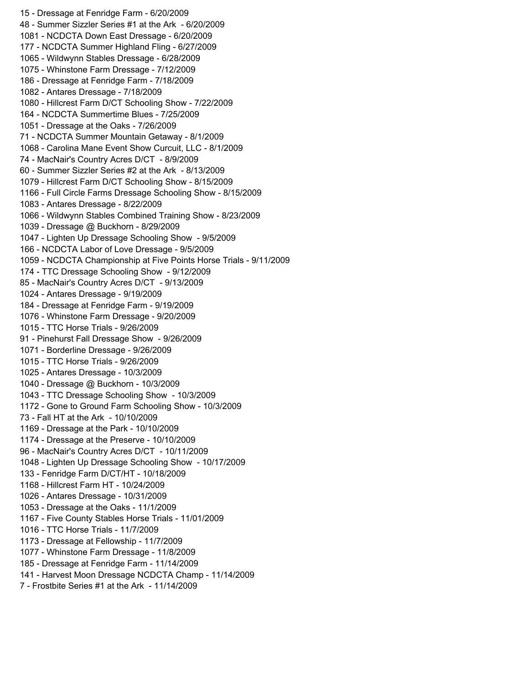15 - Dressage at Fenridge Farm - 6/20/2009 48 - Summer Sizzler Series #1 at the Ark - 6/20/2009 1081 - NCDCTA Down East Dressage - 6/20/2009 177 - NCDCTA Summer Highland Fling - 6/27/2009 1065 - Wildwynn Stables Dressage - 6/28/2009 1075 - Whinstone Farm Dressage - 7/12/2009 186 - Dressage at Fenridge Farm - 7/18/2009 1082 - Antares Dressage - 7/18/2009 1080 - Hillcrest Farm D/CT Schooling Show - 7/22/2009 164 - NCDCTA Summertime Blues - 7/25/2009 1051 - Dressage at the Oaks - 7/26/2009 71 - NCDCTA Summer Mountain Getaway - 8/1/2009 1068 - Carolina Mane Event Show Curcuit, LLC - 8/1/2009 74 - MacNair's Country Acres D/CT - 8/9/2009 60 - Summer Sizzler Series #2 at the Ark - 8/13/2009 1079 - Hillcrest Farm D/CT Schooling Show - 8/15/2009 1166 - Full Circle Farms Dressage Schooling Show - 8/15/2009 1083 - Antares Dressage - 8/22/2009 1066 - Wildwynn Stables Combined Training Show - 8/23/2009 1039 - Dressage @ Buckhorn - 8/29/2009 1047 - Lighten Up Dressage Schooling Show - 9/5/2009 166 - NCDCTA Labor of Love Dressage - 9/5/2009 1059 - NCDCTA Championship at Five Points Horse Trials - 9/11/2009 174 - TTC Dressage Schooling Show - 9/12/2009 85 - MacNair's Country Acres D/CT - 9/13/2009 1024 - Antares Dressage - 9/19/2009 184 - Dressage at Fenridge Farm - 9/19/2009 1076 - Whinstone Farm Dressage - 9/20/2009 1015 - TTC Horse Trials - 9/26/2009 91 - Pinehurst Fall Dressage Show - 9/26/2009 1071 - Borderline Dressage - 9/26/2009 1015 - TTC Horse Trials - 9/26/2009 1025 - Antares Dressage - 10/3/2009 1040 - Dressage @ Buckhorn - 10/3/2009 1043 - TTC Dressage Schooling Show - 10/3/2009 1172 - Gone to Ground Farm Schooling Show - 10/3/2009 73 - Fall HT at the Ark - 10/10/2009 1169 - Dressage at the Park - 10/10/2009 1174 - Dressage at the Preserve - 10/10/2009 96 - MacNair's Country Acres D/CT - 10/11/2009 1048 - Lighten Up Dressage Schooling Show - 10/17/2009 133 - Fenridge Farm D/CT/HT - 10/18/2009 1168 - Hillcrest Farm HT - 10/24/2009 1026 - Antares Dressage - 10/31/2009 1053 - Dressage at the Oaks - 11/1/2009 1167 - Five County Stables Horse Trials - 11/01/2009 1016 - TTC Horse Trials - 11/7/2009 1173 - Dressage at Fellowship - 11/7/2009 1077 - Whinstone Farm Dressage - 11/8/2009 185 - Dressage at Fenridge Farm - 11/14/2009 141 - Harvest Moon Dressage NCDCTA Champ - 11/14/2009 7 - Frostbite Series #1 at the Ark - 11/14/2009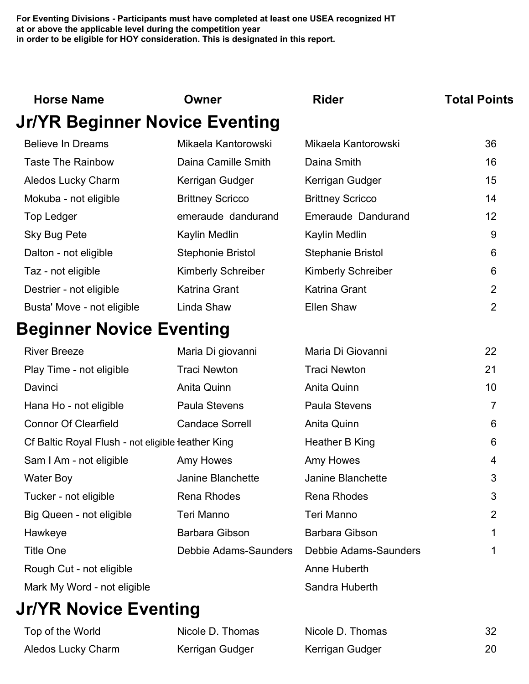**For Eventing Divisions - Participants must have completed at least one USEA recognized HT at or above the applicable level during the competition year in order to be eligible for HOY consideration. This is designated in this report.**

| <b>Horse Name</b>                                 | Owner                     | <b>Rider</b>              | <b>Total Points</b> |
|---------------------------------------------------|---------------------------|---------------------------|---------------------|
| <b>Jr/YR Beginner Novice Eventing</b>             |                           |                           |                     |
| <b>Believe In Dreams</b>                          | Mikaela Kantorowski       | Mikaela Kantorowski       | 36                  |
| <b>Taste The Rainbow</b>                          | Daina Camille Smith       | Daina Smith               | 16                  |
| Aledos Lucky Charm                                | Kerrigan Gudger           | Kerrigan Gudger           | 15                  |
| Mokuba - not eligible                             | <b>Brittney Scricco</b>   | <b>Brittney Scricco</b>   | 14                  |
| <b>Top Ledger</b>                                 | emeraude dandurand        | Emeraude Dandurand        | 12                  |
| Sky Bug Pete                                      | Kaylin Medlin             | Kaylin Medlin             | 9                   |
| Dalton - not eligible                             | Stephonie Bristol         | <b>Stephanie Bristol</b>  | 6                   |
| Taz - not eligible                                | <b>Kimberly Schreiber</b> | <b>Kimberly Schreiber</b> | 6                   |
| Destrier - not eligible                           | Katrina Grant             | <b>Katrina Grant</b>      | $\overline{2}$      |
| Busta' Move - not eligible                        | Linda Shaw                | Ellen Shaw                | $\overline{2}$      |
| <b>Beginner Novice Eventing</b>                   |                           |                           |                     |
| <b>River Breeze</b>                               | Maria Di giovanni         | Maria Di Giovanni         | 22                  |
| Play Time - not eligible                          | <b>Traci Newton</b>       | <b>Traci Newton</b>       | 21                  |
| Davinci                                           | Anita Quinn               | Anita Quinn               | 10                  |
| Hana Ho - not eligible                            | <b>Paula Stevens</b>      | <b>Paula Stevens</b>      | $\overline{7}$      |
| <b>Connor Of Clearfield</b>                       | <b>Candace Sorrell</b>    | Anita Quinn               | 6                   |
| Cf Baltic Royal Flush - not eligible leather King |                           | Heather B King            | 6                   |
| Sam I Am - not eligible                           | Amy Howes                 | Amy Howes                 | 4                   |
| <b>Water Boy</b>                                  | Janine Blanchette         | Janine Blanchette         | 3                   |
| Tucker - not eligible                             | Rena Rhodes               | <b>Rena Rhodes</b>        | 3                   |
| Big Queen - not eligible                          | Teri Manno                | Teri Manno                | $\overline{2}$      |
| Hawkeye                                           | Barbara Gibson            | <b>Barbara Gibson</b>     |                     |
| <b>Title One</b>                                  | Debbie Adams-Saunders     | Debbie Adams-Saunders     | 1                   |
| Rough Cut - not eligible                          |                           | Anne Huberth              |                     |
| Mark My Word - not eligible                       |                           | Sandra Huberth            |                     |
|                                                   |                           |                           |                     |

# **Jr/YR Novice Eventing**

| Top of the World   | Nicole D. Thomas | Nicole D. Thomas | 32 |
|--------------------|------------------|------------------|----|
| Aledos Lucky Charm | Kerrigan Gudger  | Kerrigan Gudger  | 20 |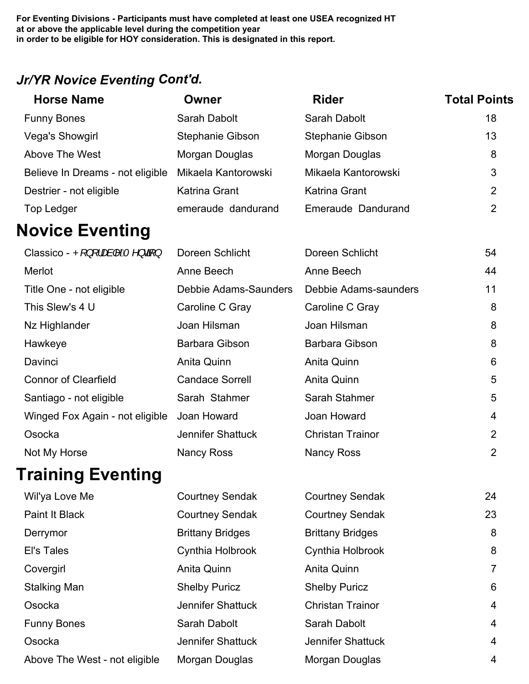**For Eventing Divisions - Participants must have completed at least one USEA recognized HT at or above the applicable level during the competition year in order to be eligible for HOY consideration. This is designated in this report.**

#### *Jr/YR Novice Eventing Cont'd.*

| <b>Horse Name</b>                                                               | Owner                    | <b>Rider</b>            | <b>Total Points</b> |
|---------------------------------------------------------------------------------|--------------------------|-------------------------|---------------------|
| <b>Funny Bones</b>                                                              | Sarah Dabolt             | Sarah Dabolt            | 18                  |
| Vega's Showgirl                                                                 | Stephanie Gibson         | <b>Stephanie Gibson</b> | 13                  |
| Above The West                                                                  | Morgan Douglas           | Morgan Douglas          | 8                   |
| Believe In Dreams - not eligible                                                | Mikaela Kantorowski      | Mikaela Kantorowski     | 3                   |
| Destrier - not eligible                                                         | Katrina Grant            | Katrina Grant           | 2                   |
| <b>Top Ledger</b>                                                               | emeraude dandurand       | Emeraude Dandurand      | $\overline{2}$      |
| <b>Novice Eventing</b>                                                          |                          |                         |                     |
| Classico - $PI$ } [ $\frac{1}{2}$ / $\frac{1}{4}$ $\frac{1}{4}$ $\frac{1}{4}$ } | Doreen Schlicht          | Doreen Schlicht         | 54                  |
| Merlot                                                                          | Anne Beech               | Anne Beech              | 44                  |
| Title One - not eligible                                                        | Debbie Adams-Saunders    | Debbie Adams-saunders   | 11                  |
| This Slew's 4 U                                                                 | Caroline C Gray          | Caroline C Gray         | 8                   |
| Nz Highlander                                                                   | Joan Hilsman             | Joan Hilsman            | 8                   |
| Hawkeye                                                                         | <b>Barbara Gibson</b>    | <b>Barbara Gibson</b>   | 8                   |
| Davinci                                                                         | Anita Quinn              | Anita Quinn             | 6                   |
| <b>Connor of Clearfield</b>                                                     | <b>Candace Sorrell</b>   | Anita Quinn             | 5                   |
| Santiago - not eligible                                                         | Sarah Stahmer            | Sarah Stahmer           | 5                   |
| Winged Fox Again - not eligible                                                 | Joan Howard              | Joan Howard             | 4                   |
| Osocka                                                                          | <b>Jennifer Shattuck</b> | <b>Christan Trainor</b> | $\overline{2}$      |
| Not My Horse                                                                    | <b>Nancy Ross</b>        | <b>Nancy Ross</b>       | $\overline{2}$      |
| <b>Training Eventing</b>                                                        |                          |                         |                     |
| Wil'ya Love Me                                                                  | <b>Courtney Sendak</b>   | <b>Courtney Sendak</b>  | 24                  |
| <b>Paint It Black</b>                                                           | <b>Courtney Sendak</b>   | <b>Courtney Sendak</b>  | 23                  |

| Paint It Black                | <b>Courtney Sendak</b>   | <b>Courtney Sendak</b>   | 23             |
|-------------------------------|--------------------------|--------------------------|----------------|
| Derrymor                      | <b>Brittany Bridges</b>  | <b>Brittany Bridges</b>  | 8              |
| El's Tales                    | Cynthia Holbrook         | Cynthia Holbrook         | 8              |
| Covergirl                     | Anita Quinn              | Anita Quinn              | 7              |
| <b>Stalking Man</b>           | <b>Shelby Puricz</b>     | <b>Shelby Puricz</b>     | 6              |
| Osocka                        | Jennifer Shattuck        | <b>Christan Trainor</b>  | $\overline{4}$ |
| <b>Funny Bones</b>            | Sarah Dabolt             | Sarah Dabolt             | $\overline{4}$ |
| Osocka                        | <b>Jennifer Shattuck</b> | <b>Jennifer Shattuck</b> | $\overline{4}$ |
| Above The West - not eligible | Morgan Douglas           | Morgan Douglas           | $\overline{4}$ |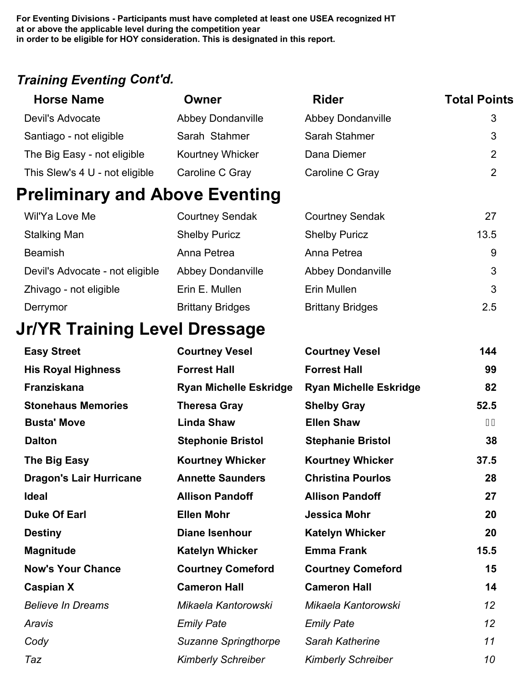**For Eventing Divisions - Participants must have completed at least one USEA recognized HT at or above the applicable level during the competition year in order to be eligible for HOY consideration. This is designated in this report.**

### *Training Eventing Cont'd.*

| <b>Horse Name</b>                     | Owner                    | <b>Rider</b>             | <b>Total Points</b> |
|---------------------------------------|--------------------------|--------------------------|---------------------|
| Devil's Advocate                      | <b>Abbey Dondanville</b> | <b>Abbey Dondanville</b> | 3                   |
| Santiago - not eligible               | Sarah Stahmer            | Sarah Stahmer            | 3                   |
| The Big Easy - not eligible           | <b>Kourtney Whicker</b>  | Dana Diemer              | $\overline{2}$      |
| This Slew's 4 U - not eligible        | Caroline C Gray          | Caroline C Gray          | 2                   |
| <b>Preliminary and Above Eventing</b> |                          |                          |                     |
| Wil'Ya Love Me                        | <b>Courtney Sendak</b>   | <b>Courtney Sendak</b>   | 27                  |
| <b>Stalking Man</b>                   | <b>Shelby Puricz</b>     | <b>Shelby Puricz</b>     | 13.5                |
| <b>Beamish</b>                        | Anna Petrea              | Anna Petrea              | 9                   |
| Devil's Advocate - not eligible       | <b>Abbey Dondanville</b> | <b>Abbey Dondanville</b> | 3                   |
| Zhivago - not eligible                | Erin E. Mullen           | Erin Mullen              | 3                   |
| Derrymor                              | <b>Brittany Bridges</b>  | <b>Brittany Bridges</b>  | 2.5                 |

## **Jr/YR Training Level Dressage**

| <b>Easy Street</b>             | <b>Courtney Vesel</b>         | <b>Courtney Vesel</b>         | 144             |
|--------------------------------|-------------------------------|-------------------------------|-----------------|
| <b>His Royal Highness</b>      | <b>Forrest Hall</b>           | <b>Forrest Hall</b>           | 99              |
| Franziskana                    | <b>Ryan Michelle Eskridge</b> | <b>Ryan Michelle Eskridge</b> | 82              |
| <b>Stonehaus Memories</b>      | <b>Theresa Gray</b>           | <b>Shelby Gray</b>            | 52.5            |
| <b>Busta' Move</b>             | <b>Linda Shaw</b>             | <b>Ellen Shaw</b>             | ( %             |
| <b>Dalton</b>                  | <b>Stephonie Bristol</b>      | <b>Stephanie Bristol</b>      | 38              |
| The Big Easy                   | <b>Kourtney Whicker</b>       | <b>Kourtney Whicker</b>       | 37.5            |
| <b>Dragon's Lair Hurricane</b> | <b>Annette Saunders</b>       | <b>Christina Pourlos</b>      | 28              |
| <b>Ideal</b>                   | <b>Allison Pandoff</b>        | <b>Allison Pandoff</b>        | 27              |
| <b>Duke Of Earl</b>            | <b>Ellen Mohr</b>             | Jessica Mohr                  | 20              |
| <b>Destiny</b>                 | <b>Diane Isenhour</b>         | <b>Katelyn Whicker</b>        | 20              |
| <b>Magnitude</b>               | <b>Katelyn Whicker</b>        | <b>Emma Frank</b>             | 15.5            |
| <b>Now's Your Chance</b>       | <b>Courtney Comeford</b>      | <b>Courtney Comeford</b>      | 15              |
| <b>Caspian X</b>               | <b>Cameron Hall</b>           | <b>Cameron Hall</b>           | 14              |
| <b>Believe In Dreams</b>       | Mikaela Kantorowski           | Mikaela Kantorowski           | 12 <sup>°</sup> |
| Aravis                         | <b>Emily Pate</b>             | <b>Emily Pate</b>             | 12 <sup>°</sup> |
| Cody                           | <b>Suzanne Springthorpe</b>   | Sarah Katherine               | 11              |
| Taz                            | <b>Kimberly Schreiber</b>     | <b>Kimberly Schreiber</b>     | 10              |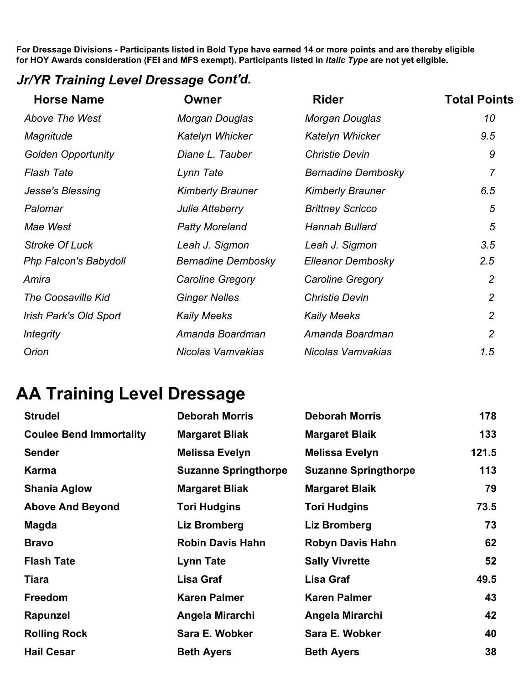#### *Jr/YR Training Level Dressage Cont'd.*

| <b>Horse Name</b>            | Owner                     | <b>Rider</b>              | <b>Total Points</b> |
|------------------------------|---------------------------|---------------------------|---------------------|
| Above The West               | Morgan Douglas            | Morgan Douglas            | 10                  |
| Magnitude                    | Katelyn Whicker           | Katelyn Whicker           | 9.5                 |
| <b>Golden Opportunity</b>    | Diane L. Tauber           | <b>Christie Devin</b>     | 9                   |
| <b>Flash Tate</b>            | Lynn Tate                 | <b>Bernadine Dembosky</b> | $\overline{7}$      |
| Jesse's Blessing             | <b>Kimberly Brauner</b>   | <b>Kimberly Brauner</b>   | 6.5                 |
| Palomar                      | Julie Atteberry           | <b>Brittney Scricco</b>   | 5                   |
| Mae West                     | <b>Patty Moreland</b>     | Hannah Bullard            | 5                   |
| <b>Stroke Of Luck</b>        | Leah J. Sigmon            | Leah J. Sigmon            | 3.5                 |
| <b>Php Falcon's Babydoll</b> | <b>Bernadine Dembosky</b> | <b>Elleanor Dembosky</b>  | 2.5                 |
| Amira                        | Caroline Gregory          | Caroline Gregory          | $\overline{2}$      |
| <b>The Coosaville Kid</b>    | <b>Ginger Nelles</b>      | <b>Christie Devin</b>     | $\overline{2}$      |
| Irish Park's Old Sport       | <b>Kaily Meeks</b>        | <b>Kaily Meeks</b>        | $\overline{2}$      |
| <i><b>Integrity</b></i>      | Amanda Boardman           | Amanda Boardman           | $\overline{2}$      |
| Orion                        | Nicolas Vamvakias         | Nicolas Vamvakias         | 1.5                 |

# **AA Training Level Dressage**

| <b>Strudel</b>                 | <b>Deborah Morris</b>       | <b>Deborah Morris</b>       | 178   |
|--------------------------------|-----------------------------|-----------------------------|-------|
| <b>Coulee Bend Immortality</b> | <b>Margaret Bliak</b>       | <b>Margaret Blaik</b>       | 133   |
| <b>Sender</b>                  | <b>Melissa Evelyn</b>       | <b>Melissa Evelyn</b>       | 121.5 |
| Karma                          | <b>Suzanne Springthorpe</b> | <b>Suzanne Springthorpe</b> | 113   |
| <b>Shania Aglow</b>            | <b>Margaret Bliak</b>       | <b>Margaret Blaik</b>       | 79    |
| <b>Above And Beyond</b>        | <b>Tori Hudgins</b>         | <b>Tori Hudgins</b>         | 73.5  |
| Magda                          | Liz Bromberg                | Liz Bromberg                | 73    |
| <b>Bravo</b>                   | <b>Robin Davis Hahn</b>     | <b>Robyn Davis Hahn</b>     | 62    |
| <b>Flash Tate</b>              | <b>Lynn Tate</b>            | <b>Sally Vivrette</b>       | 52    |
| Tiara                          | Lisa Graf                   | <b>Lisa Graf</b>            | 49.5  |
| <b>Freedom</b>                 | <b>Karen Palmer</b>         | <b>Karen Palmer</b>         | 43    |
| Rapunzel                       | Angela Mirarchi             | Angela Mirarchi             | 42    |
| <b>Rolling Rock</b>            | Sara E. Wobker              | Sara E. Wobker              | 40    |
| <b>Hail Cesar</b>              | <b>Beth Ayers</b>           | <b>Beth Ayers</b>           | 38    |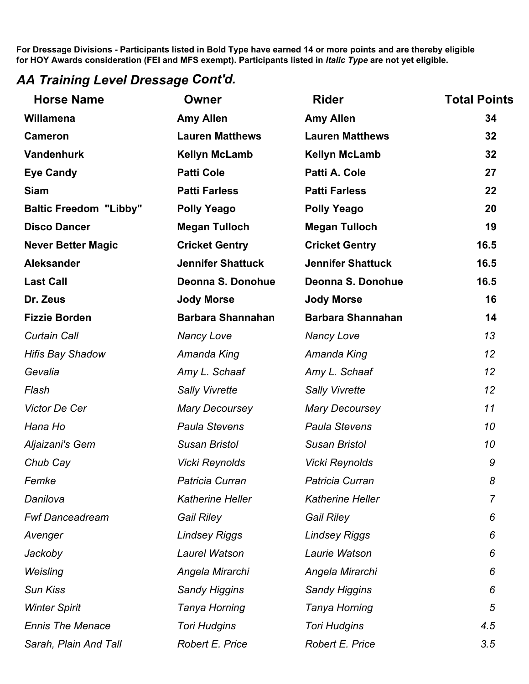### *AA Training Level Dressage Cont'd.*

| <b>Horse Name</b>             | Owner                    | <b>Rider</b>             | <b>Total Points</b> |
|-------------------------------|--------------------------|--------------------------|---------------------|
| Willamena                     | <b>Amy Allen</b>         | <b>Amy Allen</b>         | 34                  |
| <b>Cameron</b>                | <b>Lauren Matthews</b>   | <b>Lauren Matthews</b>   | 32                  |
| <b>Vandenhurk</b>             | <b>Kellyn McLamb</b>     | <b>Kellyn McLamb</b>     | 32                  |
| <b>Eye Candy</b>              | <b>Patti Cole</b>        | Patti A. Cole            | 27                  |
| <b>Siam</b>                   | <b>Patti Farless</b>     | <b>Patti Farless</b>     | 22                  |
| <b>Baltic Freedom "Libby"</b> | <b>Polly Yeago</b>       | <b>Polly Yeago</b>       | 20                  |
| <b>Disco Dancer</b>           | <b>Megan Tulloch</b>     | <b>Megan Tulloch</b>     | 19                  |
| <b>Never Better Magic</b>     | <b>Cricket Gentry</b>    | <b>Cricket Gentry</b>    | 16.5                |
| <b>Aleksander</b>             | <b>Jennifer Shattuck</b> | <b>Jennifer Shattuck</b> | 16.5                |
| <b>Last Call</b>              | Deonna S. Donohue        | Deonna S. Donohue        | 16.5                |
| Dr. Zeus                      | <b>Jody Morse</b>        | <b>Jody Morse</b>        | 16                  |
| <b>Fizzie Borden</b>          | <b>Barbara Shannahan</b> | <b>Barbara Shannahan</b> | 14                  |
| <b>Curtain Call</b>           | Nancy Love               | <b>Nancy Love</b>        | 13                  |
| <b>Hifis Bay Shadow</b>       | Amanda King              | Amanda King              | 12                  |
| Gevalia                       | Amy L. Schaaf            | Amy L. Schaaf            | 12                  |
| Flash                         | <b>Sally Vivrette</b>    | <b>Sally Vivrette</b>    | 12                  |
| Victor De Cer                 | <b>Mary Decoursey</b>    | <b>Mary Decoursey</b>    | 11                  |
| Hana Ho                       | <b>Paula Stevens</b>     | <b>Paula Stevens</b>     | 10                  |
| Aljaizani's Gem               | <b>Susan Bristol</b>     | <b>Susan Bristol</b>     | 10                  |
| Chub Cay                      | <b>Vicki Reynolds</b>    | <b>Vicki Reynolds</b>    | 9                   |
| Femke                         | Patricia Curran          | Patricia Curran          | 8                   |
| Danilova                      | <b>Katherine Heller</b>  | <b>Katherine Heller</b>  | 7                   |
| <b>Fwf Danceadream</b>        | <b>Gail Riley</b>        | <b>Gail Riley</b>        | 6                   |
| Avenger                       | <b>Lindsey Riggs</b>     | <b>Lindsey Riggs</b>     | 6                   |
| Jackoby                       | Laurel Watson            | Laurie Watson            | 6                   |
| Weisling                      | Angela Mirarchi          | Angela Mirarchi          | 6                   |
| <b>Sun Kiss</b>               | <b>Sandy Higgins</b>     | <b>Sandy Higgins</b>     | 6                   |
| <b>Winter Spirit</b>          | Tanya Horning            | Tanya Horning            | 5                   |
| <b>Ennis The Menace</b>       | <b>Tori Hudgins</b>      | <b>Tori Hudgins</b>      | 4.5                 |
| Sarah, Plain And Tall         | Robert E. Price          | Robert E. Price          | 3.5                 |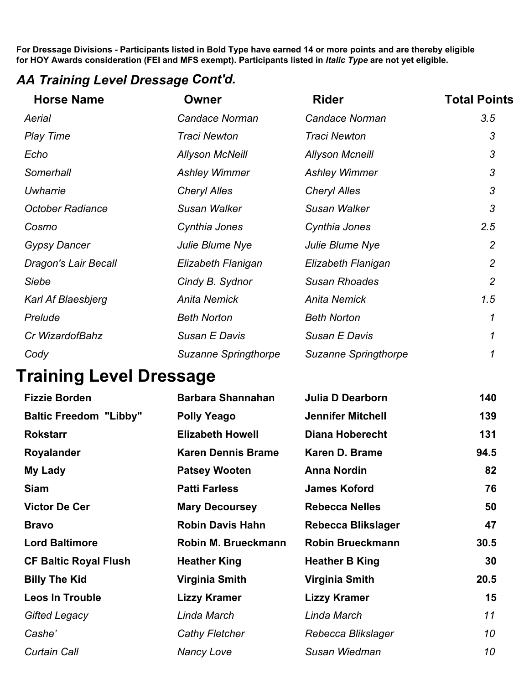#### *AA Training Level Dressage Cont'd.*

| <b>Horse Name</b>           | Owner                  | <b>Rider</b>           | <b>Total Points</b> |
|-----------------------------|------------------------|------------------------|---------------------|
| Aerial                      | Candace Norman         | Candace Norman         | 3.5                 |
| <b>Play Time</b>            | Traci Newton           | Traci Newton           | 3                   |
| Echo                        | <b>Allyson McNeill</b> | <b>Allyson Mcneill</b> | 3                   |
| Somerhall                   | <b>Ashley Wimmer</b>   | <b>Ashley Wimmer</b>   | 3                   |
| Uwharrie                    | <b>Cheryl Alles</b>    | <b>Cheryl Alles</b>    | 3                   |
| <b>October Radiance</b>     | Susan Walker           | Susan Walker           | 3                   |
| Cosmo                       | Cynthia Jones          | Cynthia Jones          | 2.5                 |
| <b>Gypsy Dancer</b>         | Julie Blume Nye        | Julie Blume Nye        | $\overline{2}$      |
| <b>Dragon's Lair Becall</b> | Elizabeth Flanigan     | Elizabeth Flanigan     | $\overline{2}$      |
| Siebe                       | Cindy B. Sydnor        | <b>Susan Rhoades</b>   | $\overline{2}$      |
| Karl Af Blaesbjerg          | <b>Anita Nemick</b>    | <b>Anita Nemick</b>    | 1.5                 |
| Prelude                     | <b>Beth Norton</b>     | <b>Beth Norton</b>     | 1                   |
| Cr WizardofBahz             | Susan E Davis          | Susan E Davis          | 1                   |
| Cody                        | Suzanne Springthorpe   | Suzanne Springthorpe   |                     |

# **Training Level Dressage**

| <b>Fizzie Borden</b>          | <b>Barbara Shannahan</b>  | <b>Julia D Dearborn</b>  | 140  |
|-------------------------------|---------------------------|--------------------------|------|
| <b>Baltic Freedom "Libby"</b> | <b>Polly Yeago</b>        | <b>Jennifer Mitchell</b> | 139  |
| <b>Rokstarr</b>               | <b>Elizabeth Howell</b>   | <b>Diana Hoberecht</b>   | 131  |
| <b>Royalander</b>             | <b>Karen Dennis Brame</b> | Karen D. Brame           | 94.5 |
| My Lady                       | <b>Patsey Wooten</b>      | <b>Anna Nordin</b>       | 82   |
| <b>Siam</b>                   | <b>Patti Farless</b>      | <b>James Koford</b>      | 76   |
| <b>Victor De Cer</b>          | <b>Mary Decoursey</b>     | <b>Rebecca Nelles</b>    | 50   |
| <b>Bravo</b>                  | <b>Robin Davis Hahn</b>   | Rebecca Blikslager       | 47   |
| <b>Lord Baltimore</b>         | Robin M. Brueckmann       | <b>Robin Brueckmann</b>  | 30.5 |
| <b>CF Baltic Royal Flush</b>  | <b>Heather King</b>       | <b>Heather B King</b>    | 30   |
| <b>Billy The Kid</b>          | <b>Virginia Smith</b>     | Virginia Smith           | 20.5 |
| <b>Leos In Trouble</b>        | <b>Lizzy Kramer</b>       | <b>Lizzy Kramer</b>      | 15   |
| Gifted Legacy                 | Linda March               | Linda March              | 11   |
| Cashe'                        | <b>Cathy Fletcher</b>     | Rebecca Blikslager       | 10   |
| <b>Curtain Call</b>           | Nancy Love                | Susan Wiedman            | 10   |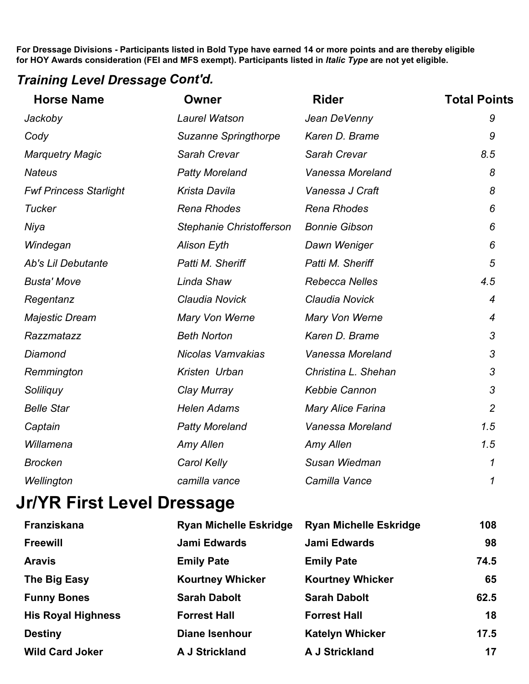#### *Training Level Dressage Cont'd.*

| <b>Horse Name</b>             | Owner                    | <b>Rider</b>             | <b>Total Points</b> |
|-------------------------------|--------------------------|--------------------------|---------------------|
| Jackoby                       | <b>Laurel Watson</b>     | Jean DeVenny             | 9                   |
| Cody                          | Suzanne Springthorpe     | Karen D. Brame           | 9                   |
| <b>Marquetry Magic</b>        | Sarah Crevar             | Sarah Crevar             | 8.5                 |
| <b>Nateus</b>                 | <b>Patty Moreland</b>    | Vanessa Moreland         | 8                   |
| <b>Fwf Princess Starlight</b> | Krista Davila            | Vanessa J Craft          | 8                   |
| <b>Tucker</b>                 | <b>Rena Rhodes</b>       | <b>Rena Rhodes</b>       | 6                   |
| Niya                          | Stephanie Christofferson | <b>Bonnie Gibson</b>     | 6                   |
| Windegan                      | <b>Alison Eyth</b>       | Dawn Weniger             | 6                   |
| Ab's Lil Debutante            | Patti M. Sheriff         | Patti M. Sheriff         | 5                   |
| <b>Busta' Move</b>            | Linda Shaw               | <b>Rebecca Nelles</b>    | 4.5                 |
| Regentanz                     | Claudia Novick           | Claudia Novick           | $\overline{4}$      |
| Majestic Dream                | Mary Von Werne           | Mary Von Werne           | 4                   |
| Razzmatazz                    | <b>Beth Norton</b>       | Karen D. Brame           | 3                   |
| Diamond                       | Nicolas Vamvakias        | Vanessa Moreland         | 3                   |
| Remmington                    | Kristen Urban            | Christina L. Shehan      | 3                   |
| Soliliquy                     | Clay Murray              | Kebbie Cannon            | 3                   |
| <b>Belle Star</b>             | <b>Helen Adams</b>       | <b>Mary Alice Farina</b> | $\overline{2}$      |
| Captain                       | <b>Patty Moreland</b>    | Vanessa Moreland         | 1.5                 |
| Willamena                     | Amy Allen                | Amy Allen                | 1.5                 |
| <b>Brocken</b>                | Carol Kelly              | Susan Wiedman            | 1                   |
| Wellington                    | camilla vance            | Camilla Vance            | 1                   |

## **Jr/YR First Level Dressage**

| Franziskana               | <b>Ryan Michelle Eskridge</b> | <b>Ryan Michelle Eskridge</b> | 108  |
|---------------------------|-------------------------------|-------------------------------|------|
| <b>Freewill</b>           | <b>Jami Edwards</b>           | <b>Jami Edwards</b>           | 98   |
| <b>Aravis</b>             | <b>Emily Pate</b>             | <b>Emily Pate</b>             | 74.5 |
| The Big Easy              | <b>Kourtney Whicker</b>       | <b>Kourtney Whicker</b>       | 65   |
| <b>Funny Bones</b>        | <b>Sarah Dabolt</b>           | <b>Sarah Dabolt</b>           | 62.5 |
| <b>His Royal Highness</b> | <b>Forrest Hall</b>           | <b>Forrest Hall</b>           | 18   |
| <b>Destiny</b>            | <b>Diane Isenhour</b>         | <b>Katelyn Whicker</b>        | 17.5 |
| <b>Wild Card Joker</b>    | <b>A J Strickland</b>         | <b>A J Strickland</b>         | 17   |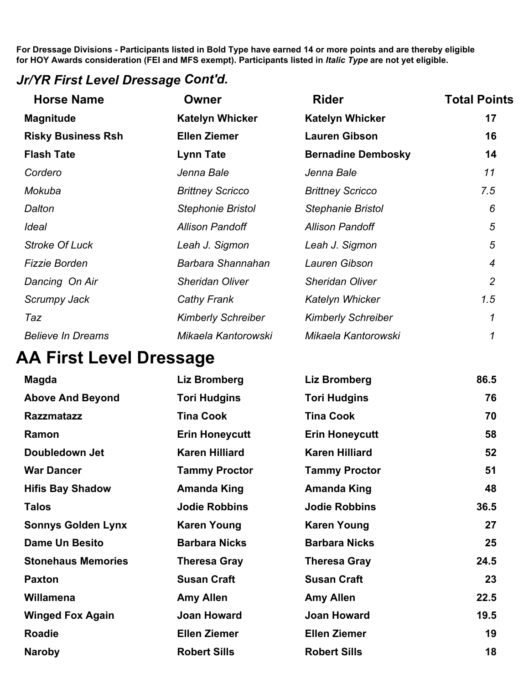#### *Jr/YR First Level Dressage Cont'd.*

| <b>Horse Name</b>         | Owner                     | <b>Rider</b>              | <b>Total Points</b> |
|---------------------------|---------------------------|---------------------------|---------------------|
| <b>Magnitude</b>          | <b>Katelyn Whicker</b>    | <b>Katelyn Whicker</b>    | 17                  |
| <b>Risky Business Rsh</b> | <b>Ellen Ziemer</b>       | <b>Lauren Gibson</b>      | 16                  |
| <b>Flash Tate</b>         | <b>Lynn Tate</b>          | <b>Bernadine Dembosky</b> | 14                  |
| Cordero                   | Jenna Bale                | Jenna Bale                | 11                  |
| Mokuba                    | <b>Brittney Scricco</b>   | <b>Brittney Scricco</b>   | 7.5                 |
| Dalton                    | <b>Stephonie Bristol</b>  | <b>Stephanie Bristol</b>  | 6                   |
| Ideal                     | <b>Allison Pandoff</b>    | <b>Allison Pandoff</b>    | 5                   |
| <b>Stroke Of Luck</b>     | Leah J. Sigmon            | Leah J. Sigmon            | 5                   |
| <b>Fizzie Borden</b>      | Barbara Shannahan         | Lauren Gibson             | $\overline{4}$      |
| Dancing On Air            | <b>Sheridan Oliver</b>    | <b>Sheridan Oliver</b>    | $\overline{2}$      |
| Scrumpy Jack              | <b>Cathy Frank</b>        | Katelyn Whicker           | 1.5                 |
| Taz                       | <b>Kimberly Schreiber</b> | <b>Kimberly Schreiber</b> | 1                   |
| <b>Believe In Dreams</b>  | Mikaela Kantorowski       | Mikaela Kantorowski       | 1                   |

## **AA First Level Dressage**

| <b>Magda</b>              | <b>Liz Bromberg</b>   | <b>Liz Bromberg</b>   | 86.5 |
|---------------------------|-----------------------|-----------------------|------|
| <b>Above And Beyond</b>   | <b>Tori Hudgins</b>   | <b>Tori Hudgins</b>   | 76   |
| <b>Razzmatazz</b>         | <b>Tina Cook</b>      | <b>Tina Cook</b>      | 70   |
| Ramon                     | <b>Erin Honeycutt</b> | <b>Erin Honeycutt</b> | 58   |
| Doubledown Jet            | <b>Karen Hilliard</b> | <b>Karen Hilliard</b> | 52   |
| <b>War Dancer</b>         | <b>Tammy Proctor</b>  | <b>Tammy Proctor</b>  | 51   |
| <b>Hifis Bay Shadow</b>   | <b>Amanda King</b>    | <b>Amanda King</b>    | 48   |
| <b>Talos</b>              | <b>Jodie Robbins</b>  | <b>Jodie Robbins</b>  | 36.5 |
| <b>Sonnys Golden Lynx</b> | <b>Karen Young</b>    | <b>Karen Young</b>    | 27   |
| <b>Dame Un Besito</b>     | <b>Barbara Nicks</b>  | <b>Barbara Nicks</b>  | 25   |
| <b>Stonehaus Memories</b> | <b>Theresa Gray</b>   | <b>Theresa Gray</b>   | 24.5 |
| <b>Paxton</b>             | <b>Susan Craft</b>    | <b>Susan Craft</b>    | 23   |
| Willamena                 | <b>Amy Allen</b>      | <b>Amy Allen</b>      | 22.5 |
| <b>Winged Fox Again</b>   | <b>Joan Howard</b>    | <b>Joan Howard</b>    | 19.5 |
| <b>Roadie</b>             | <b>Ellen Ziemer</b>   | <b>Ellen Ziemer</b>   | 19   |
| <b>Naroby</b>             | <b>Robert Sills</b>   | <b>Robert Sills</b>   | 18   |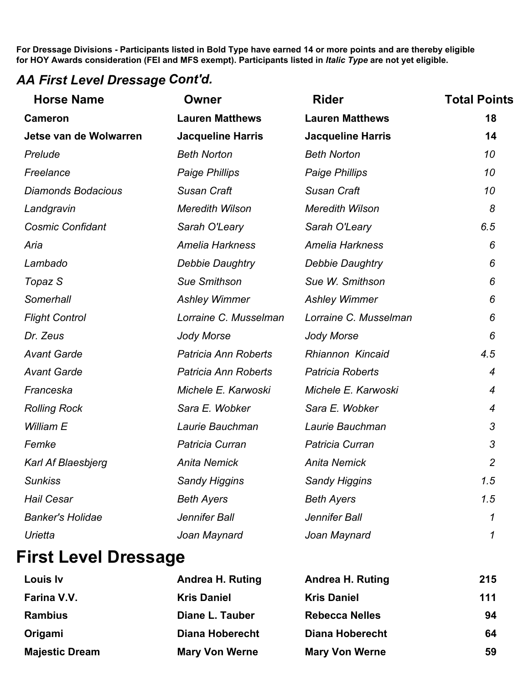#### *AA First Level Dressage Cont'd.*

| <b>Horse Name</b>       | <b>Owner</b>                | <b>Rider</b>             | <b>Total Points</b> |
|-------------------------|-----------------------------|--------------------------|---------------------|
| <b>Cameron</b>          | <b>Lauren Matthews</b>      | <b>Lauren Matthews</b>   | 18                  |
| Jetse van de Wolwarren  | <b>Jacqueline Harris</b>    | <b>Jacqueline Harris</b> | 14                  |
| Prelude                 | <b>Beth Norton</b>          | <b>Beth Norton</b>       | 10                  |
| Freelance               | <b>Paige Phillips</b>       | <b>Paige Phillips</b>    | 10                  |
| Diamonds Bodacious      | Susan Craft                 | <b>Susan Craft</b>       | 10                  |
| Landgravin              | <b>Meredith Wilson</b>      | <b>Meredith Wilson</b>   | 8                   |
| <b>Cosmic Confidant</b> | Sarah O'Leary               | Sarah O'Leary            | 6.5                 |
| Aria                    | <b>Amelia Harkness</b>      | Amelia Harkness          | 6                   |
| Lambado                 | Debbie Daughtry             | Debbie Daughtry          | 6                   |
| Topaz S                 | <b>Sue Smithson</b>         | Sue W. Smithson          | 6                   |
| Somerhall               | <b>Ashley Wimmer</b>        | <b>Ashley Wimmer</b>     | 6                   |
| <b>Flight Control</b>   | Lorraine C. Musselman       | Lorraine C. Musselman    | 6                   |
| Dr. Zeus                | Jody Morse                  | Jody Morse               | 6                   |
| <b>Avant Garde</b>      | <b>Patricia Ann Roberts</b> | Rhiannon Kincaid         | 4.5                 |
| <b>Avant Garde</b>      | Patricia Ann Roberts        | <b>Patricia Roberts</b>  | $\overline{4}$      |
| Franceska               | Michele E. Karwoski         | Michele E. Karwoski      | $\overline{4}$      |
| <b>Rolling Rock</b>     | Sara E. Wobker              | Sara E. Wobker           | $\overline{4}$      |
| William E               | Laurie Bauchman             | Laurie Bauchman          | 3                   |
| Femke                   | Patricia Curran             | Patricia Curran          | 3                   |
| Karl Af Blaesbjerg      | <b>Anita Nemick</b>         | <b>Anita Nemick</b>      | $\overline{2}$      |
| <b>Sunkiss</b>          | Sandy Higgins               | <b>Sandy Higgins</b>     | 1.5                 |
| <b>Hail Cesar</b>       | <b>Beth Ayers</b>           | <b>Beth Ayers</b>        | 1.5                 |
| <b>Banker's Holidae</b> | Jennifer Ball               | Jennifer Ball            | 1                   |
| Urietta                 | Joan Maynard                | Joan Maynard             | 1                   |
|                         |                             |                          |                     |

## **First Level Dressage**

| Louis Iv              | <b>Andrea H. Ruting</b> | <b>Andrea H. Ruting</b> | 215 |
|-----------------------|-------------------------|-------------------------|-----|
| Farina V.V.           | <b>Kris Daniel</b>      | <b>Kris Daniel</b>      | 111 |
| <b>Rambius</b>        | Diane L. Tauber         | <b>Rebecca Nelles</b>   | 94  |
| Origami               | <b>Diana Hoberecht</b>  | <b>Diana Hoberecht</b>  | 64  |
| <b>Majestic Dream</b> | <b>Mary Von Werne</b>   | <b>Mary Von Werne</b>   | 59  |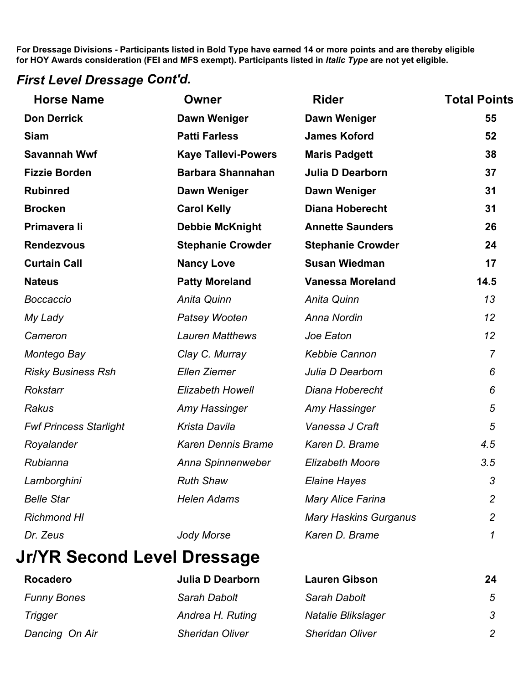#### *First Level Dressage Cont'd.*

| <b>Horse Name</b>             | Owner                      | <b>Rider</b>                 | <b>Total Points</b> |
|-------------------------------|----------------------------|------------------------------|---------------------|
| <b>Don Derrick</b>            | Dawn Weniger               | Dawn Weniger                 | 55                  |
| <b>Siam</b>                   | <b>Patti Farless</b>       | <b>James Koford</b>          | 52                  |
| <b>Savannah Wwf</b>           | <b>Kaye Tallevi-Powers</b> | <b>Maris Padgett</b>         | 38                  |
| <b>Fizzie Borden</b>          | <b>Barbara Shannahan</b>   | <b>Julia D Dearborn</b>      | 37                  |
| <b>Rubinred</b>               | Dawn Weniger               | Dawn Weniger                 | 31                  |
| <b>Brocken</b>                | <b>Carol Kelly</b>         | <b>Diana Hoberecht</b>       | 31                  |
| Primavera li                  | <b>Debbie McKnight</b>     | <b>Annette Saunders</b>      | 26                  |
| <b>Rendezvous</b>             | <b>Stephanie Crowder</b>   | <b>Stephanie Crowder</b>     | 24                  |
| <b>Curtain Call</b>           | <b>Nancy Love</b>          | <b>Susan Wiedman</b>         | 17                  |
| <b>Nateus</b>                 | <b>Patty Moreland</b>      | <b>Vanessa Moreland</b>      | 14.5                |
| <b>Boccaccio</b>              | Anita Quinn                | Anita Quinn                  | 13                  |
| My Lady                       | Patsey Wooten              | Anna Nordin                  | 12                  |
| Cameron                       | <b>Lauren Matthews</b>     | Joe Eaton                    | 12                  |
| Montego Bay                   | Clay C. Murray             | <b>Kebbie Cannon</b>         | $\overline{7}$      |
| <b>Risky Business Rsh</b>     | Ellen Ziemer               | Julia D Dearborn             | 6                   |
| Rokstarr                      | <b>Elizabeth Howell</b>    | Diana Hoberecht              | 6                   |
| <b>Rakus</b>                  | Amy Hassinger              | Amy Hassinger                | 5                   |
| <b>Fwf Princess Starlight</b> | Krista Davila              | Vanessa J Craft              | 5                   |
| Royalander                    | <b>Karen Dennis Brame</b>  | Karen D. Brame               | 4.5                 |
| Rubianna                      | Anna Spinnenweber          | <b>Elizabeth Moore</b>       | 3.5                 |
| Lamborghini                   | <b>Ruth Shaw</b>           | <b>Elaine Hayes</b>          | 3                   |
| <b>Belle Star</b>             | <b>Helen Adams</b>         | <b>Mary Alice Farina</b>     | $\overline{c}$      |
| <b>Richmond HI</b>            |                            | <b>Mary Haskins Gurganus</b> | $\overline{c}$      |
| Dr. Zeus                      | Jody Morse                 | Karen D. Brame               | 1                   |
|                               |                            |                              |                     |

## **Jr/YR Second Level Dressage**

| <b>Rocadero</b>    | Julia D Dearborn       | <b>Lauren Gibson</b>   | 24             |
|--------------------|------------------------|------------------------|----------------|
| <b>Funny Bones</b> | Sarah Dabolt           | Sarah Dabolt           | 5              |
| Trigger            | Andrea H. Ruting       | Natalie Blikslager     | 3              |
| Dancing On Air     | <b>Sheridan Oliver</b> | <b>Sheridan Oliver</b> | $\overline{2}$ |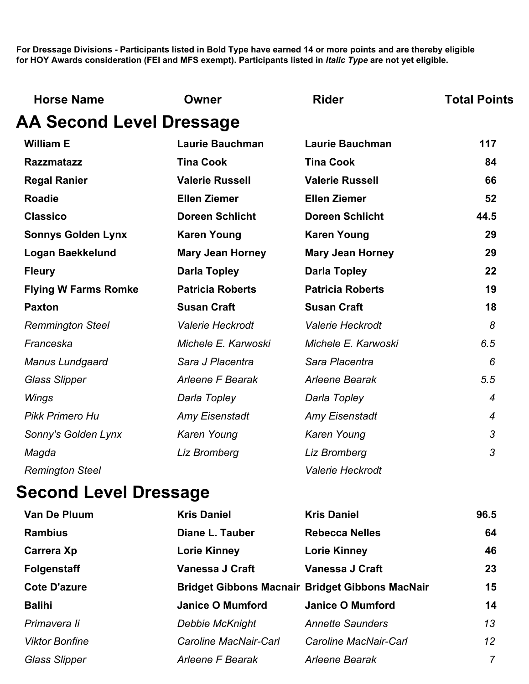| <b>Horse Name</b>               | Owner                   | <b>Rider</b>            | <b>Total Points</b> |
|---------------------------------|-------------------------|-------------------------|---------------------|
| <b>AA Second Level Dressage</b> |                         |                         |                     |
| <b>William E</b>                | <b>Laurie Bauchman</b>  | <b>Laurie Bauchman</b>  | 117                 |
| <b>Razzmatazz</b>               | <b>Tina Cook</b>        | <b>Tina Cook</b>        | 84                  |
| <b>Regal Ranier</b>             | <b>Valerie Russell</b>  | <b>Valerie Russell</b>  | 66                  |
| <b>Roadie</b>                   | <b>Ellen Ziemer</b>     | <b>Ellen Ziemer</b>     | 52                  |
| <b>Classico</b>                 | <b>Doreen Schlicht</b>  | <b>Doreen Schlicht</b>  | 44.5                |
| <b>Sonnys Golden Lynx</b>       | <b>Karen Young</b>      | <b>Karen Young</b>      | 29                  |
| <b>Logan Baekkelund</b>         | <b>Mary Jean Horney</b> | <b>Mary Jean Horney</b> | 29                  |
| <b>Fleury</b>                   | <b>Darla Topley</b>     | <b>Darla Topley</b>     | 22                  |
| <b>Flying W Farms Romke</b>     | <b>Patricia Roberts</b> | <b>Patricia Roberts</b> | 19                  |
| <b>Paxton</b>                   | <b>Susan Craft</b>      | <b>Susan Craft</b>      | 18                  |
| <b>Remmington Steel</b>         | <b>Valerie Heckrodt</b> | <b>Valerie Heckrodt</b> | 8                   |
| Franceska                       | Michele E. Karwoski     | Michele E. Karwoski     | 6.5                 |
| Manus Lundgaard                 | Sara J Placentra        | Sara Placentra          | 6                   |
| <b>Glass Slipper</b>            | Arleene F Bearak        | <b>Arleene Bearak</b>   | 5.5                 |
| Wings                           | Darla Topley            | Darla Topley            | $\overline{4}$      |
| <b>Pikk Primero Hu</b>          | <b>Amy Eisenstadt</b>   | <b>Amy Eisenstadt</b>   | $\overline{4}$      |
| Sonny's Golden Lynx             | Karen Young             | Karen Young             | 3                   |
| Magda                           | Liz Bromberg            | <b>Liz Bromberg</b>     | 3                   |
| <b>Remington Steel</b>          |                         | Valerie Heckrodt        |                     |
|                                 |                         |                         |                     |

### **Second Level Dressage**

| Van De Pluum          | <b>Kris Daniel</b>      | <b>Kris Daniel</b>                                     | 96.5           |
|-----------------------|-------------------------|--------------------------------------------------------|----------------|
| <b>Rambius</b>        | Diane L. Tauber         | <b>Rebecca Nelles</b>                                  | 64             |
| Carrera Xp            | <b>Lorie Kinney</b>     | <b>Lorie Kinney</b>                                    | 46             |
| <b>Folgenstaff</b>    | <b>Vanessa J Craft</b>  | Vanessa J Craft                                        | 23             |
| <b>Cote D'azure</b>   |                         | <b>Bridget Gibbons Macnair Bridget Gibbons MacNair</b> | 15             |
| <b>Balihi</b>         | <b>Janice O Mumford</b> | <b>Janice O Mumford</b>                                | 14             |
| Primavera li          | Debbie McKnight         | <b>Annette Saunders</b>                                | 13             |
| <b>Viktor Bonfine</b> | Caroline MacNair-Carl   | Caroline MacNair-Carl                                  | 12             |
| <b>Glass Slipper</b>  | <b>Arleene F Bearak</b> | Arleene Bearak                                         | $\overline{7}$ |
|                       |                         |                                                        |                |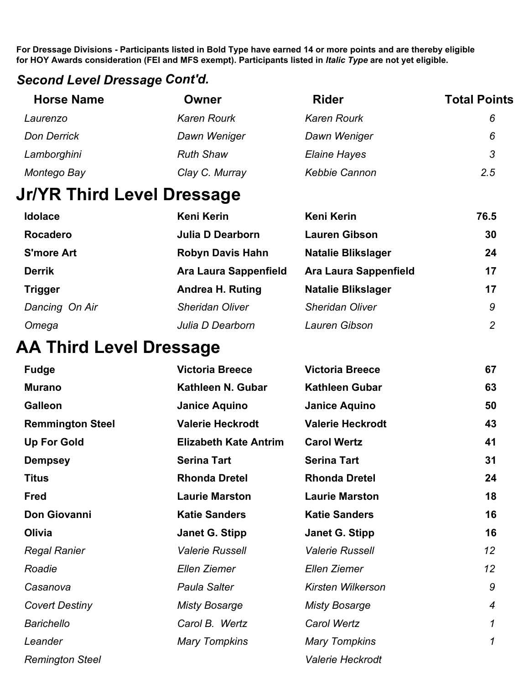#### *Second Level Dressage Cont'd.*

| <b>Horse Name</b>              | Owner                   | <b>Rider</b>                 | <b>Total Points</b> |
|--------------------------------|-------------------------|------------------------------|---------------------|
| Laurenzo                       | <b>Karen Rourk</b>      | <b>Karen Rourk</b>           | 6                   |
| <b>Don Derrick</b>             | Dawn Weniger            | Dawn Weniger                 | 6                   |
| Lamborghini                    | <b>Ruth Shaw</b>        | <b>Elaine Hayes</b>          | 3                   |
| Montego Bay                    | Clay C. Murray          | <b>Kebbie Cannon</b>         | 2.5                 |
| Jr/YR Third Level Dressage     |                         |                              |                     |
| <b>Idolace</b>                 | <b>Keni Kerin</b>       | <b>Keni Kerin</b>            | 76.5                |
| <b>Rocadero</b>                | <b>Julia D Dearborn</b> | <b>Lauren Gibson</b>         | 30                  |
| <b>S'more Art</b>              | <b>Robyn Davis Hahn</b> | <b>Natalie Blikslager</b>    | 24                  |
| <b>Derrik</b>                  | Ara Laura Sappenfield   | <b>Ara Laura Sappenfield</b> | 17                  |
| <b>Trigger</b>                 | <b>Andrea H. Ruting</b> | <b>Natalie Blikslager</b>    | 17                  |
| Dancing On Air                 | <b>Sheridan Oliver</b>  | <b>Sheridan Oliver</b>       | 9                   |
| Omega                          | Julia D Dearborn        | Lauren Gibson                | $\overline{2}$      |
| <b>AA Third Level Dressage</b> |                         |                              |                     |
| <b>Fudge</b>                   | <b>Victoria Breece</b>  | <b>Victoria Breece</b>       | 67                  |

| . aago                  |                              |                         |                            |
|-------------------------|------------------------------|-------------------------|----------------------------|
| <b>Murano</b>           | Kathleen N. Gubar            | <b>Kathleen Gubar</b>   | 63                         |
| <b>Galleon</b>          | <b>Janice Aquino</b>         | <b>Janice Aquino</b>    | 50                         |
| <b>Remmington Steel</b> | <b>Valerie Heckrodt</b>      | <b>Valerie Heckrodt</b> | 43                         |
| <b>Up For Gold</b>      | <b>Elizabeth Kate Antrim</b> | <b>Carol Wertz</b>      | 41                         |
| <b>Dempsey</b>          | <b>Serina Tart</b>           | <b>Serina Tart</b>      | 31                         |
| <b>Titus</b>            | <b>Rhonda Dretel</b>         | <b>Rhonda Dretel</b>    | 24                         |
| <b>Fred</b>             | <b>Laurie Marston</b>        | <b>Laurie Marston</b>   | 18                         |
| Don Giovanni            | <b>Katie Sanders</b>         | <b>Katie Sanders</b>    | 16                         |
| Olivia                  | <b>Janet G. Stipp</b>        | Janet G. Stipp          | 16                         |
| <b>Regal Ranier</b>     | <b>Valerie Russell</b>       | <b>Valerie Russell</b>  | 12                         |
| Roadie                  | Ellen Ziemer                 | Ellen Ziemer            | 12                         |
| Casanova                | Paula Salter                 | Kirsten Wilkerson       | 9                          |
| <b>Covert Destiny</b>   | <b>Misty Bosarge</b>         | <b>Misty Bosarge</b>    | $\boldsymbol{4}$           |
| <b>Barichello</b>       | Carol B. Wertz               | Carol Wertz             | $\boldsymbol{\mathcal{1}}$ |
| Leander                 | <b>Mary Tompkins</b>         | <b>Mary Tompkins</b>    | $\boldsymbol{\mathcal{1}}$ |
| <b>Remington Steel</b>  |                              | Valerie Heckrodt        |                            |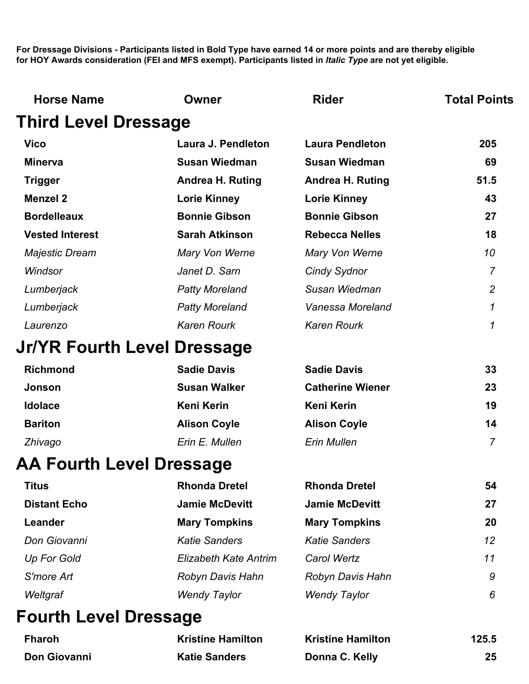| <b>Horse Name</b>               | Owner                    | <b>Rider</b>             | <b>Total Points</b> |
|---------------------------------|--------------------------|--------------------------|---------------------|
| <b>Third Level Dressage</b>     |                          |                          |                     |
| <b>Vico</b>                     | Laura J. Pendleton       | <b>Laura Pendleton</b>   | 205                 |
| <b>Minerva</b>                  | <b>Susan Wiedman</b>     | <b>Susan Wiedman</b>     | 69                  |
| <b>Trigger</b>                  | <b>Andrea H. Ruting</b>  | <b>Andrea H. Ruting</b>  | 51.5                |
| <b>Menzel 2</b>                 | <b>Lorie Kinney</b>      | <b>Lorie Kinney</b>      | 43                  |
| <b>Bordelleaux</b>              | <b>Bonnie Gibson</b>     | <b>Bonnie Gibson</b>     | 27                  |
| <b>Vested Interest</b>          | <b>Sarah Atkinson</b>    | <b>Rebecca Nelles</b>    | 18                  |
| <b>Majestic Dream</b>           | Mary Von Werne           | Mary Von Werne           | 10                  |
| Windsor                         | Janet D. Sarn            | <b>Cindy Sydnor</b>      | $\overline{7}$      |
| Lumberjack                      | <b>Patty Moreland</b>    | Susan Wiedman            | $\overline{2}$      |
| Lumberjack                      | <b>Patty Moreland</b>    | Vanessa Moreland         | 1                   |
| Laurenzo                        | <b>Karen Rourk</b>       | <b>Karen Rourk</b>       | 1                   |
| Jr/YR Fourth Level Dressage     |                          |                          |                     |
| <b>Richmond</b>                 | <b>Sadie Davis</b>       | <b>Sadie Davis</b>       | 33                  |
| Jonson                          | <b>Susan Walker</b>      | <b>Catherine Wiener</b>  | 23                  |
| <b>Idolace</b>                  | <b>Keni Kerin</b>        | <b>Keni Kerin</b>        | 19                  |
| <b>Bariton</b>                  | <b>Alison Coyle</b>      | <b>Alison Coyle</b>      | 14                  |
| Zhivago                         | Erin E. Mullen           | <b>Erin Mullen</b>       | $\overline{7}$      |
| <b>AA Fourth Level Dressage</b> |                          |                          |                     |
| <b>Titus</b>                    | <b>Rhonda Dretel</b>     | <b>Rhonda Dretel</b>     | 54                  |
| <b>Distant Echo</b>             | <b>Jamie McDevitt</b>    | <b>Jamie McDevitt</b>    | 27                  |
| Leander                         | <b>Mary Tompkins</b>     | <b>Mary Tompkins</b>     | 20                  |
| Don Giovanni                    | <b>Katie Sanders</b>     | <b>Katie Sanders</b>     | 12                  |
| <b>Up For Gold</b>              | Elizabeth Kate Antrim    | Carol Wertz              | 11                  |
| S'more Art                      | Robyn Davis Hahn         | Robyn Davis Hahn         | 9                   |
| Weltgraf                        | <b>Wendy Taylor</b>      | <b>Wendy Taylor</b>      | 6                   |
| <b>Fourth Level Dressage</b>    |                          |                          |                     |
| <b>Fharoh</b>                   | <b>Kristine Hamilton</b> | <b>Kristine Hamilton</b> | 125.5               |
| Don Giovanni                    | <b>Katie Sanders</b>     | Donna C. Kelly           | 25                  |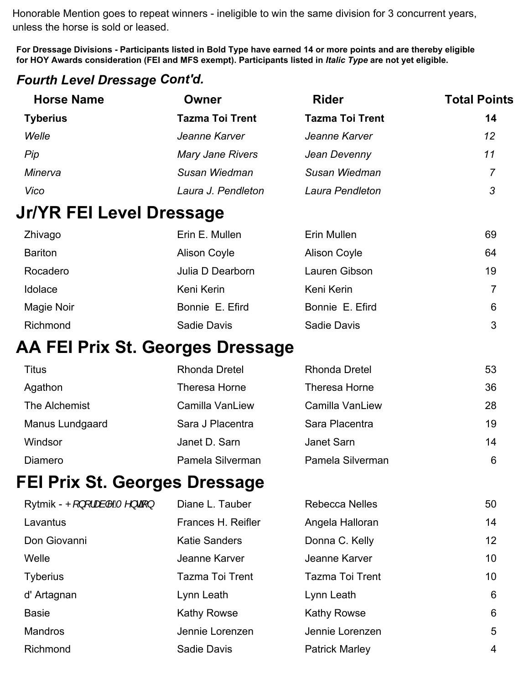Honorable Mention goes to repeat winners - ineligible to win the same division for 3 concurrent years, unless the horse is sold or leased. This will be designed at the year.

**For Dressage Divisions - Participants listed in Bold Type have earned 14 or more points and are thereby eligible for HOY Awards consideration (FEI and MFS exempt). Participants listed in** *Italic Type* **are not yet eligible.**

**Horse Name Owner Rider Total Points** 

### *Fourth Level Dressage Cont'd.*

| <b>Tyberius</b>                                                                                  | <b>Tazma Toi Trent</b>  | <b>Tazma Toi Trent</b> | 14             |
|--------------------------------------------------------------------------------------------------|-------------------------|------------------------|----------------|
| Welle                                                                                            | Jeanne Karver           | Jeanne Karver          | 12             |
| Pip                                                                                              | <b>Mary Jane Rivers</b> | Jean Devenny           | 11             |
| Minerva                                                                                          | Susan Wiedman           | Susan Wiedman          | $\overline{7}$ |
| Vico                                                                                             | Laura J. Pendleton      | Laura Pendleton        | 3              |
| <b>Jr/YR FEI Level Dressage</b>                                                                  |                         |                        |                |
| Zhivago                                                                                          | Erin E. Mullen          | Erin Mullen            | 69             |
| <b>Bariton</b>                                                                                   | <b>Alison Coyle</b>     | <b>Alison Coyle</b>    | 64             |
| Rocadero                                                                                         | Julia D Dearborn        | Lauren Gibson          | 19             |
| Idolace                                                                                          | Keni Kerin              | Keni Kerin             | $\overline{7}$ |
| Magie Noir                                                                                       | Bonnie E. Efird         | Bonnie E. Efird        | 6              |
| Richmond                                                                                         | <b>Sadie Davis</b>      | <b>Sadie Davis</b>     | 3              |
| <b>AA FEI Prix St. Georges Dressage</b>                                                          |                         |                        |                |
| <b>Titus</b>                                                                                     | <b>Rhonda Dretel</b>    | <b>Rhonda Dretel</b>   | 53             |
| Agathon                                                                                          | <b>Theresa Horne</b>    | Theresa Horne          | 36             |
| The Alchemist                                                                                    | Camilla VanLiew         | Camilla VanLiew        | 28             |
| Manus Lundgaard                                                                                  | Sara J Placentra        | Sara Placentra         | 19             |
| Windsor                                                                                          | Janet D. Sarn           | Janet Sarn             | 14             |
| Diamero                                                                                          | Pamela Silverman        | Pamela Silverman       | 6              |
| <b>FEI Prix St. Georges Dressage</b>                                                             |                         |                        |                |
| Rytmik - $PI$ } [ $\frac{1}{2}$ / $\mathcal{A} \wedge \mathcal{A}$ $\rightarrow$ $\mathcal{A}$ } | Diane L. Tauber         | <b>Rebecca Nelles</b>  | 50             |
| Lavantus                                                                                         | Frances H. Reifler      | Angela Halloran        | 14             |
| Don Giovanni                                                                                     | <b>Katie Sanders</b>    | Donna C. Kelly         | 12             |
| Welle                                                                                            | Jeanne Karver           | Jeanne Karver          | 10             |
| <b>Tyberius</b>                                                                                  | Tazma Toi Trent         | Tazma Toi Trent        | 10             |
| d' Artagnan                                                                                      | Lynn Leath              | Lynn Leath             | 6              |
| <b>Basie</b>                                                                                     | <b>Kathy Rowse</b>      | <b>Kathy Rowse</b>     | 6              |
| <b>Mandros</b>                                                                                   | Jennie Lorenzen         | Jennie Lorenzen        | 5              |
| Richmond                                                                                         | <b>Sadie Davis</b>      | <b>Patrick Marley</b>  | 4              |
|                                                                                                  |                         |                        |                |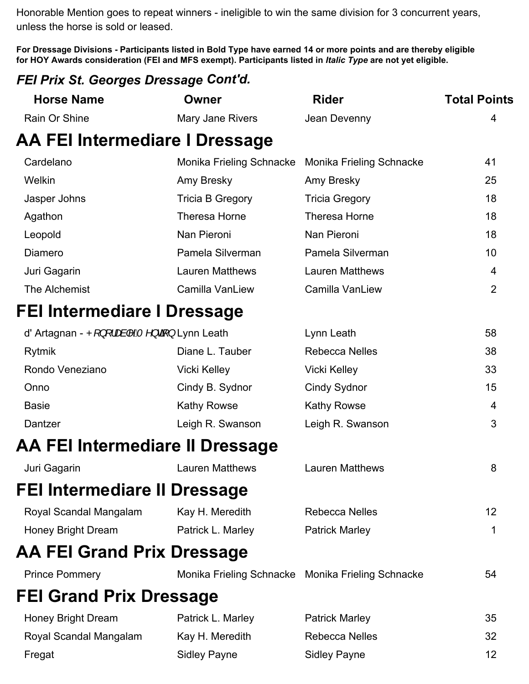Honorable Mention goes to repeat winners - ineligible to win the same division for 3 concurrent years, unless the horse is sold or leased.

**For Dressage Divisions - Participants listed in Bold Type have earned 14 or more points and are thereby eligible for HOY Awards consideration (FEI and MFS exempt). Participants listed in** *Italic Type* **are not yet eligible.**

### *FEI Prix St. Georges Dressage Cont'd.*

| <b>Horse Name</b>                                    | Owner                    | <b>Rider</b>                                      | <b>Total Points</b> |
|------------------------------------------------------|--------------------------|---------------------------------------------------|---------------------|
| Rain Or Shine                                        | Mary Jane Rivers         | Jean Devenny                                      | 4                   |
| <b>AA FEI Intermediare I Dressage</b>                |                          |                                                   |                     |
| Cardelano                                            | Monika Frieling Schnacke | <b>Monika Frieling Schnacke</b>                   | 41                  |
| Welkin                                               | Amy Bresky               | Amy Bresky                                        | 25                  |
| Jasper Johns                                         | <b>Tricia B Gregory</b>  | <b>Tricia Gregory</b>                             | 18                  |
| Agathon                                              | Theresa Horne            | Theresa Horne                                     | 18                  |
| Leopold                                              | Nan Pieroni              | Nan Pieroni                                       | 18                  |
| Diamero                                              | Pamela Silverman         | Pamela Silverman                                  | 10                  |
| Juri Gagarin                                         | <b>Lauren Matthews</b>   | <b>Lauren Matthews</b>                            | $\overline{4}$      |
| The Alchemist                                        | Camilla VanLiew          | <b>Camilla VanLiew</b>                            | $\overline{2}$      |
| <b>FEI Intermediare I Dressage</b>                   |                          |                                                   |                     |
| d' Artagnan - P[ } [ / a man / Ar ^ } a } Lynn Leath |                          | Lynn Leath                                        | 58                  |
| Rytmik                                               | Diane L. Tauber          | <b>Rebecca Nelles</b>                             | 38                  |
| Rondo Veneziano                                      | <b>Vicki Kelley</b>      | <b>Vicki Kelley</b>                               | 33                  |
| Onno                                                 | Cindy B. Sydnor          | <b>Cindy Sydnor</b>                               | 15                  |
| <b>Basie</b>                                         | <b>Kathy Rowse</b>       | <b>Kathy Rowse</b>                                | $\overline{4}$      |
| Dantzer                                              | Leigh R. Swanson         | Leigh R. Swanson                                  | 3                   |
| <b>AA FEI Intermediare II Dressage</b>               |                          |                                                   |                     |
| Juri Gagarin                                         | <b>Lauren Matthews</b>   | <b>Lauren Matthews</b>                            | 8                   |
| <b>FEI Intermediare II Dressage</b>                  |                          |                                                   |                     |
| Royal Scandal Mangalam                               | Kay H. Meredith          | <b>Rebecca Nelles</b>                             | $12 \overline{ }$   |
| Honey Bright Dream                                   | Patrick L. Marley        | <b>Patrick Marley</b>                             | 1                   |
| <b>AA FEI Grand Prix Dressage</b>                    |                          |                                                   |                     |
| <b>Prince Pommery</b>                                |                          | Monika Frieling Schnacke Monika Frieling Schnacke | 54                  |
| <b>FEI Grand Prix Dressage</b>                       |                          |                                                   |                     |
| Honey Bright Dream                                   | Patrick L. Marley        | <b>Patrick Marley</b>                             | 35                  |
| Royal Scandal Mangalam                               | Kay H. Meredith          | <b>Rebecca Nelles</b>                             | 32                  |
| Fregat                                               | <b>Sidley Payne</b>      | <b>Sidley Payne</b>                               | 12                  |